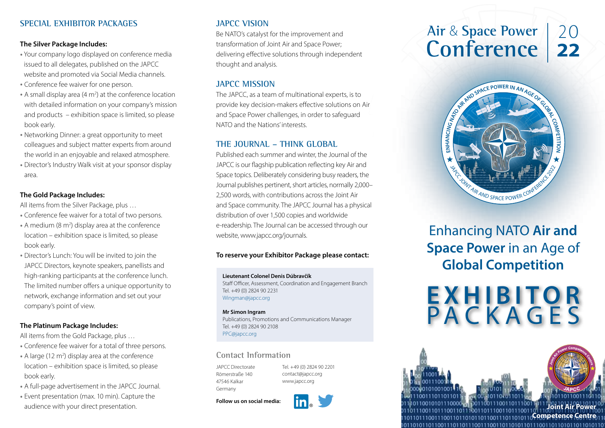### **SPECIAL EXHIBITOR PACKAGES**

#### **The Silver Package Includes:**

- **·** Your company logo displayed on conference media issued to all delegates, published on the JAPCC website and promoted via Social Media channels.
- **·** Conference fee waiver for one person.
- A small display area (4 m<sup>2</sup>) at the conference location with detailed information on your company's mission and products – exhibition space is limited, so please book early.
- **·** Networking Dinner: a great opportunity to meet colleagues and subject matter experts from around the world in an enjoyable and relaxed atmosphere.
- **·** Director's Industry Walk visit at your sponsor display area.

#### **The Gold Package Includes:**

All items from the Silver Package, plus …

- **·** Conference fee waiver for a total of two persons.
- **·** A medium (8 m2 ) display area at the conference location – exhibition space is limited, so please book early.
- **·** Director's Lunch: You will be invited to join the JAPCC Directors, keynote speakers, panellists and high-ranking participants at the conference lunch. The limited number offers a unique opportunity to network, exchange information and set out your company's point of view.

#### **The Platinum Package Includes:**

All items from the Gold Package, plus …

- **·** Conference fee waiver for a total of three persons.
- A large (12 m<sup>2</sup>) display area at the conference location – exhibition space is limited, so please book early.
- **·** A full-page advertisement in the JAPCC Journal.
- **·** Event presentation (max. 10 min). Capture the audience with your direct presentation.

# **JAPCC VISION**

Be NATO's catalyst for the improvement and transformation of Joint Air and Space Power; delivering effective solutions through independent thought and analysis.

# **JAPCC MISSION**

The JAPCC, as a team of multinational experts, is to provide key decision-makers effective solutions on Air and Space Power challenges, in order to safeguard NATO and the Nations' interests.

# **THE JOURNAL – THINK GLOBAL**

Published each summer and winter, the Journal of the JAPCC is our flagship publication reflecting key Air and Space topics. Deliberately considering busy readers, the Journal publishes pertinent, short articles, normally 2,000– 2,500 words, with contributions across the Joint Air and Space community. The JAPCC Journal has a physical distribution of over 1,500 copies and worldwide e-readership. The Journal can be accessed through our website, www.japcc.org/journals.

#### **To reserve your Exhibitor Package please contact:**

#### **Lieutenant Colonel Denis Dúbravčík**

Staff Officer, Assessment, Coordination and Engagement Branch Tel. +49 (0) 2824 90 2231 Wingman[@japcc.org](mailto:solea%40japcc.org%20?subject=)

#### **Mr Simon Ingram**

Publications, Promotions and Communications Manager Tel. +49 (0) 2824 90 2108 PP[C@japcc.org](mailto:conference%40japcc.org?subject=)

#### **Contact Information**

JAPCC Directorate Römerstraße 140 47546 Kalkar Germany

Tel. +49 (0) 2824 90 2201 [contact@japcc.org](mailto:contact%40japcc.org%20?subject=) www.japcc.org

**Follow us on social media:**





Enhancing NATO **Air and Space Power** in an Age of **Global Competition**

**EXHIBITOR** PACKAGES